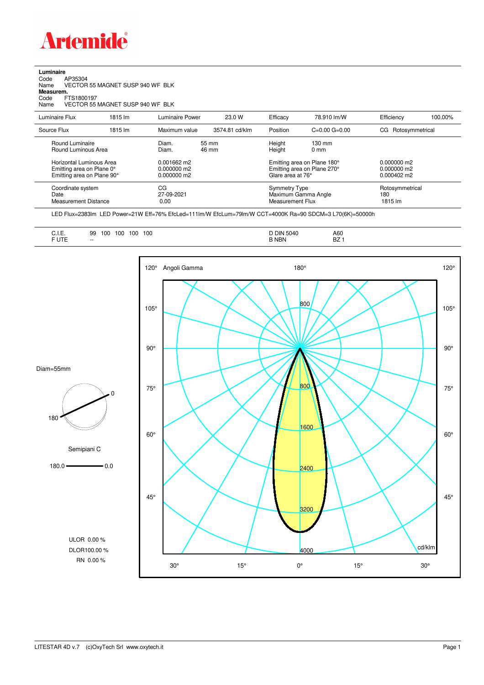

## **Luminaire** Code AP35304 Name VECTOR 55 MAGNET SUSP 940 WF BLK Code A<br>Name V<br>**Measurem.** Code FTS1800197<br>Name VECTOR 55 VECTOR 55 MAGNET SUSP 940 WF BLK Luminaire Flux 1815 lm Luminaire Power 23.0 W Efficacy 78.910 lm/W Efficiency 100.00% Source Flux 1815 lm Maximum value 3574.81 cd/klm Position C=0.00 G=0.00 CG Rotosymmetrical Round Luminaire Diam. 55 mm Height 130 mm

| Round Luminous Area                                                                 | <br>Diam.                                   | <u>JJ 111111</u><br>46 mm | .<br>Height                                                                     | 1 UU 11 11 11<br>$0 \text{ mm}$ |                                                      |
|-------------------------------------------------------------------------------------|---------------------------------------------|---------------------------|---------------------------------------------------------------------------------|---------------------------------|------------------------------------------------------|
| Horizontal Luminous Area<br>Emitting area on Plane 0°<br>Emitting area on Plane 90° | $0.001662$ m2<br>0.000000 m2<br>0.000000 m2 |                           | Emitting area on Plane 180°<br>Emitting area on Plane 270°<br>Glare area at 76° |                                 | $0.000000$ m2<br>0.000000 m2<br>$0.000402 \text{ m}$ |
| Coordinate system<br>Date<br><b>Measurement Distance</b>                            | CG<br>27-09-2021<br>0.00                    |                           | <b>Symmetry Type</b><br>Maximum Gamma Angle<br>Measurement Flux                 |                                 | Rotosymmetrical<br>180<br>1815 lm                    |

LED Flux=2383lm LED Power=21W Eff=76% EfcLed=111lm/W EfcLum=79lm/W CCT=4000K Ra=90 SDCM=3 L70(6K)=50000h